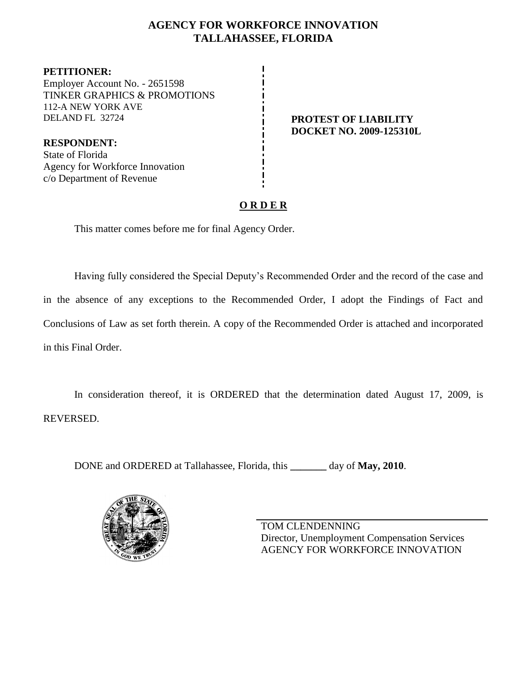## **AGENCY FOR WORKFORCE INNOVATION TALLAHASSEE, FLORIDA**

**PETITIONER:** Employer Account No. - 2651598 TINKER GRAPHICS & PROMOTIONS 112-A NEW YORK AVE DELAND FL 32724 **PROTEST OF LIABILITY**

**RESPONDENT:** State of Florida Agency for Workforce Innovation c/o Department of Revenue

# **DOCKET NO. 2009-125310L**

# **O R D E R**

This matter comes before me for final Agency Order.

Having fully considered the Special Deputy's Recommended Order and the record of the case and in the absence of any exceptions to the Recommended Order, I adopt the Findings of Fact and Conclusions of Law as set forth therein. A copy of the Recommended Order is attached and incorporated in this Final Order.

In consideration thereof, it is ORDERED that the determination dated August 17, 2009, is REVERSED.

DONE and ORDERED at Tallahassee, Florida, this **\_\_\_\_\_\_\_** day of **May, 2010**.



TOM CLENDENNING Director, Unemployment Compensation Services AGENCY FOR WORKFORCE INNOVATION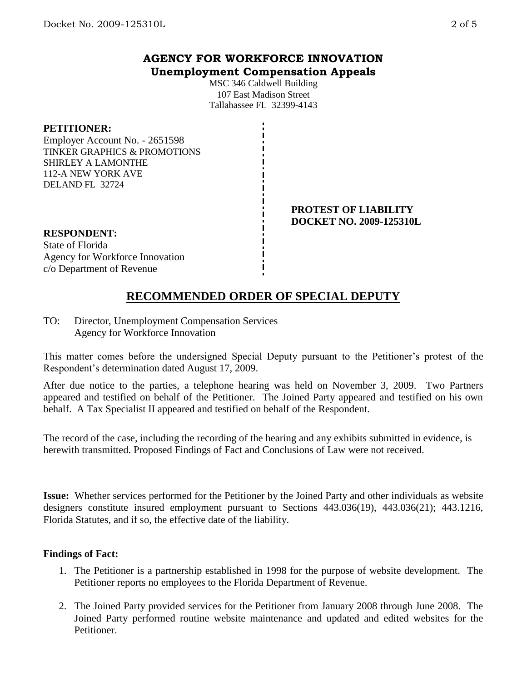## **AGENCY FOR WORKFORCE INNOVATION Unemployment Compensation Appeals**

MSC 346 Caldwell Building 107 East Madison Street Tallahassee FL 32399-4143

#### **PETITIONER:**

Employer Account No. - 2651598 TINKER GRAPHICS & PROMOTIONS SHIRLEY A LAMONTHE 112-A NEW YORK AVE DELAND FL 32724

#### **PROTEST OF LIABILITY DOCKET NO. 2009-125310L**

#### **RESPONDENT:**

State of Florida Agency for Workforce Innovation c/o Department of Revenue

# **RECOMMENDED ORDER OF SPECIAL DEPUTY**

TO: Director, Unemployment Compensation Services Agency for Workforce Innovation

This matter comes before the undersigned Special Deputy pursuant to the Petitioner's protest of the Respondent's determination dated August 17, 2009.

After due notice to the parties, a telephone hearing was held on November 3, 2009. Two Partners appeared and testified on behalf of the Petitioner. The Joined Party appeared and testified on his own behalf. A Tax Specialist II appeared and testified on behalf of the Respondent.

The record of the case, including the recording of the hearing and any exhibits submitted in evidence, is herewith transmitted. Proposed Findings of Fact and Conclusions of Law were not received.

**Issue:** Whether services performed for the Petitioner by the Joined Party and other individuals as website designers constitute insured employment pursuant to Sections 443.036(19), 443.036(21); 443.1216, Florida Statutes, and if so, the effective date of the liability.

#### **Findings of Fact:**

- 1. The Petitioner is a partnership established in 1998 for the purpose of website development. The Petitioner reports no employees to the Florida Department of Revenue.
- 2. The Joined Party provided services for the Petitioner from January 2008 through June 2008. The Joined Party performed routine website maintenance and updated and edited websites for the Petitioner.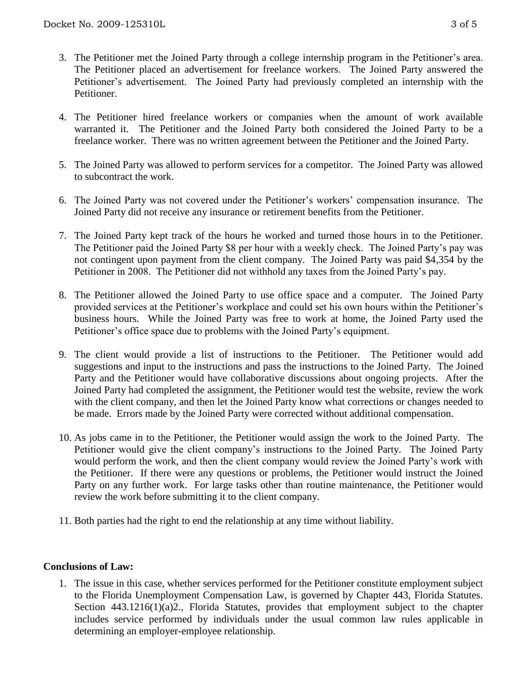- 3. The Petitioner met the Joined Party through a college internship program in the Petitioner's area. The Petitioner placed an advertisement for freelance workers. The Joined Party answered the Petitioner's advertisement. The Joined Party had previously completed an internship with the Petitioner.
- 4. The Petitioner hired freelance workers or companies when the amount of work available warranted it. The Petitioner and the Joined Party both considered the Joined Party to be a freelance worker. There was no written agreement between the Petitioner and the Joined Party.
- 5. The Joined Party was allowed to perform services for a competitor. The Joined Party was allowed to subcontract the work.
- 6. The Joined Party was not covered under the Petitioner's workers' compensation insurance. The Joined Party did not receive any insurance or retirement benefits from the Petitioner.
- 7. The Joined Party kept track of the hours he worked and turned those hours in to the Petitioner. The Petitioner paid the Joined Party \$8 per hour with a weekly check. The Joined Party's pay was not contingent upon payment from the client company. The Joined Party was paid \$4,354 by the Petitioner in 2008. The Petitioner did not withhold any taxes from the Joined Party's pay.
- 8. The Petitioner allowed the Joined Party to use office space and a computer. The Joined Party provided services at the Petitioner's workplace and could set his own hours within the Petitioner's business hours. While the Joined Party was free to work at home, the Joined Party used the Petitioner's office space due to problems with the Joined Party's equipment.
- 9. The client would provide a list of instructions to the Petitioner. The Petitioner would add suggestions and input to the instructions and pass the instructions to the Joined Party. The Joined Party and the Petitioner would have collaborative discussions about ongoing projects. After the Joined Party had completed the assignment, the Petitioner would test the website, review the work with the client company, and then let the Joined Party know what corrections or changes needed to be made. Errors made by the Joined Party were corrected without additional compensation.
- 10. As jobs came in to the Petitioner, the Petitioner would assign the work to the Joined Party. The Petitioner would give the client company's instructions to the Joined Party. The Joined Party would perform the work, and then the client company would review the Joined Party's work with the Petitioner. If there were any questions or problems, the Petitioner would instruct the Joined Party on any further work. For large tasks other than routine maintenance, the Petitioner would review the work before submitting it to the client company.
- 11. Both parties had the right to end the relationship at any time without liability.

#### **Conclusions of Law:**

1. The issue in this case, whether services performed for the Petitioner constitute employment subject to the Florida Unemployment Compensation Law, is governed by Chapter 443, Florida Statutes. Section 443.1216(1)(a)2., Florida Statutes, provides that employment subject to the chapter includes service performed by individuals under the usual common law rules applicable in determining an employer-employee relationship.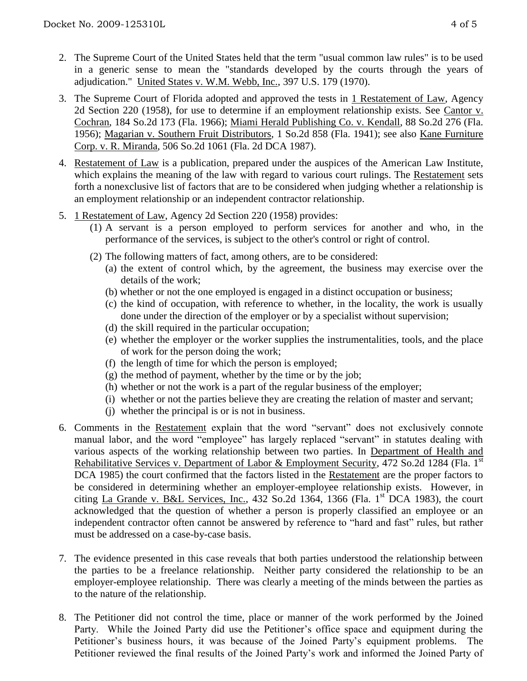- 2. The Supreme Court of the United States held that the term "usual common law rules" is to be used in a generic sense to mean the "standards developed by the courts through the years of adjudication." United States v. W.M. Webb, Inc., 397 U.S. 179 (1970).
- 3. The Supreme Court of Florida adopted and approved the tests in 1 Restatement of Law, Agency 2d Section 220 (1958), for use to determine if an employment relationship exists. See Cantor v. Cochran, 184 So.2d 173 (Fla. 1966); Miami Herald Publishing Co. v. Kendall, 88 So.2d 276 (Fla. 1956); Magarian v. Southern Fruit Distributors, 1 So.2d 858 (Fla. 1941); see also Kane Furniture Corp. v. R. Miranda, 506 So.2d 1061 (Fla. 2d DCA 1987).
- 4. Restatement of Law is a publication, prepared under the auspices of the American Law Institute, which explains the meaning of the law with regard to various court rulings. The Restatement sets forth a nonexclusive list of factors that are to be considered when judging whether a relationship is an employment relationship or an independent contractor relationship.
- 5. 1 Restatement of Law, Agency 2d Section 220 (1958) provides:
	- (1) A servant is a person employed to perform services for another and who, in the performance of the services, is subject to the other's control or right of control.
	- (2) The following matters of fact, among others, are to be considered:
		- (a) the extent of control which, by the agreement, the business may exercise over the details of the work;
		- (b) whether or not the one employed is engaged in a distinct occupation or business;
		- (c) the kind of occupation, with reference to whether, in the locality, the work is usually done under the direction of the employer or by a specialist without supervision;
		- (d) the skill required in the particular occupation;
		- (e) whether the employer or the worker supplies the instrumentalities, tools, and the place of work for the person doing the work;
		- (f) the length of time for which the person is employed;
		- $(g)$  the method of payment, whether by the time or by the job;
		- (h) whether or not the work is a part of the regular business of the employer;
		- (i) whether or not the parties believe they are creating the relation of master and servant;
		- (j) whether the principal is or is not in business.
- 6. Comments in the Restatement explain that the word "servant" does not exclusively connote manual labor, and the word "employee" has largely replaced "servant" in statutes dealing with various aspects of the working relationship between two parties. In Department of Health and Rehabilitative Services v. Department of Labor & Employment Security, 472 So.2d 1284 (Fla. 1st DCA 1985) the court confirmed that the factors listed in the Restatement are the proper factors to be considered in determining whether an employer-employee relationship exists. However, in citing La Grande v. B&L Services, Inc.,  $432$  So.2d  $1364$ ,  $1366$  (Fla. 1st DCA 1983), the court acknowledged that the question of whether a person is properly classified an employee or an independent contractor often cannot be answered by reference to "hard and fast" rules, but rather must be addressed on a case-by-case basis.
- 7. The evidence presented in this case reveals that both parties understood the relationship between the parties to be a freelance relationship. Neither party considered the relationship to be an employer-employee relationship. There was clearly a meeting of the minds between the parties as to the nature of the relationship.
- 8. The Petitioner did not control the time, place or manner of the work performed by the Joined Party. While the Joined Party did use the Petitioner's office space and equipment during the Petitioner's business hours, it was because of the Joined Party's equipment problems. The Petitioner reviewed the final results of the Joined Party's work and informed the Joined Party of